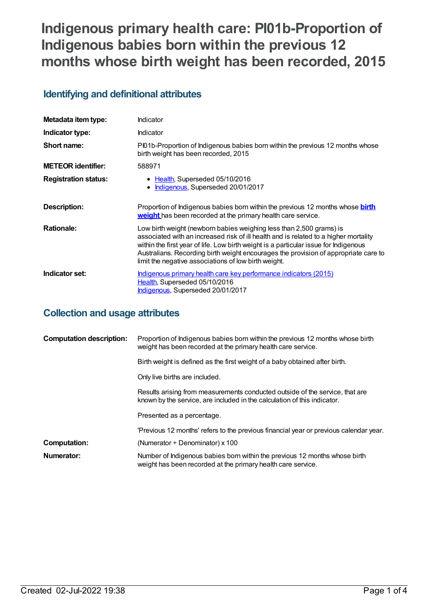# **Indigenous primary health care: PI01b-Proportion of Indigenous babies born within the previous 12 months whose birth weight has been recorded, 2015**

## **Identifying and definitional attributes**

| Metadata item type:         | Indicator                                                                                                                                                                                                                                                                                                                                                                                          |
|-----------------------------|----------------------------------------------------------------------------------------------------------------------------------------------------------------------------------------------------------------------------------------------------------------------------------------------------------------------------------------------------------------------------------------------------|
| Indicator type:             | Indicator                                                                                                                                                                                                                                                                                                                                                                                          |
| Short name:                 | Pl01b-Proportion of Indigenous babies born within the previous 12 months whose<br>birth weight has been recorded, 2015                                                                                                                                                                                                                                                                             |
| <b>METEOR</b> identifier:   | 588971                                                                                                                                                                                                                                                                                                                                                                                             |
| <b>Registration status:</b> | • Health, Superseded 05/10/2016<br>Indigenous, Superseded 20/01/2017                                                                                                                                                                                                                                                                                                                               |
| Description:                | Proportion of Indigenous babies born within the previous 12 months whose <b>birth</b><br>weight has been recorded at the primary health care service.                                                                                                                                                                                                                                              |
| <b>Rationale:</b>           | Low birth weight (newborn babies weighing less than 2,500 grams) is<br>associated with an increased risk of ill health and is related to a higher mortality<br>within the first year of life. Low birth weight is a particular issue for Indigenous<br>Australians. Recording birth weight encourages the provision of appropriate care to<br>limit the negative associations of low birth weight. |
| Indicator set:              | <u>Indigenous primary health care key performance indicators (2015)</u><br>Health, Superseded 05/10/2016<br>Indigenous, Superseded 20/01/2017                                                                                                                                                                                                                                                      |

### **Collection and usage attributes**

| <b>Computation description:</b> | Proportion of Indigenous babies born within the previous 12 months whose birth<br>weight has been recorded at the primary health care service.           |
|---------------------------------|----------------------------------------------------------------------------------------------------------------------------------------------------------|
|                                 | Birth weight is defined as the first weight of a baby obtained after birth.                                                                              |
|                                 | Only live births are included.                                                                                                                           |
|                                 | Results arising from measurements conducted outside of the service, that are<br>known by the service, are included in the calculation of this indicator. |
|                                 | Presented as a percentage.                                                                                                                               |
|                                 | 'Previous 12 months' refers to the previous financial year or previous calendar year.                                                                    |
| <b>Computation:</b>             | (Numerator $\div$ Denominator) x 100                                                                                                                     |
| Numerator:                      | Number of Indigenous babies born within the previous 12 months whose birth<br>weight has been recorded at the primary health care service.               |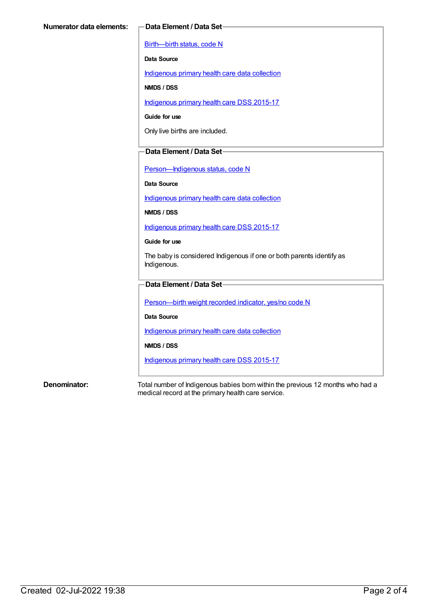[Birth—birth](https://meteor.aihw.gov.au/content/269949) status, code N

**Data Source**

[Indigenous](https://meteor.aihw.gov.au/content/430643) primary health care data collection

**NMDS / DSS**

[Indigenous](https://meteor.aihw.gov.au/content/585036) primary health care DSS 2015-17

**Guide for use**

Only live births are included.

#### **Data Element / Data Set**

[Person—Indigenous](https://meteor.aihw.gov.au/content/291036) status, code N

**Data Source**

[Indigenous](https://meteor.aihw.gov.au/content/430643) primary health care data collection

**NMDS / DSS**

[Indigenous](https://meteor.aihw.gov.au/content/585036) primary health care DSS 2015-17

**Guide for use**

The baby is considered Indigenous if one or both parents identify as Indigenous.

#### **Data Element / Data Set**

[Person—birth](https://meteor.aihw.gov.au/content/441701) weight recorded indicator, yes/no code N

**Data Source**

[Indigenous](https://meteor.aihw.gov.au/content/430643) primary health care data collection

**NMDS / DSS**

[Indigenous](https://meteor.aihw.gov.au/content/585036) primary health care DSS 2015-17

**Denominator:** Total number of Indigenous babies born within the previous 12 months who had a medical record at the primary health care service.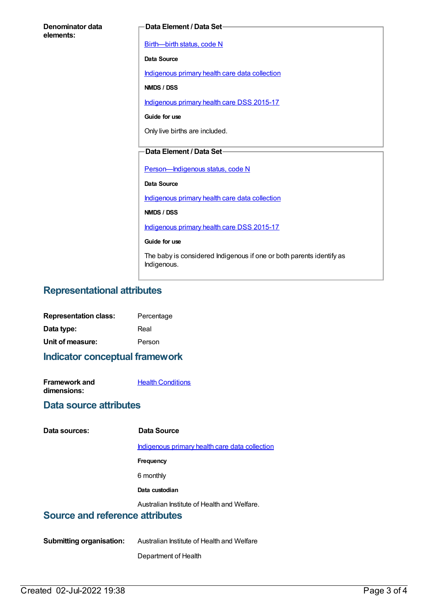| Denominator data<br>elements: | Data Element / Data Set-                                                            |  |
|-------------------------------|-------------------------------------------------------------------------------------|--|
|                               | Birth-birth status, code N                                                          |  |
|                               | <b>Data Source</b>                                                                  |  |
|                               | Indigenous primary health care data collection                                      |  |
|                               | NMDS / DSS                                                                          |  |
|                               | Indigenous primary health care DSS 2015-17                                          |  |
|                               | Guide for use                                                                       |  |
|                               | Only live births are included.                                                      |  |
|                               | Data Element / Data Set-                                                            |  |
|                               | Person-Indigenous status, code N                                                    |  |
|                               | <b>Data Source</b>                                                                  |  |
|                               | Indigenous primary health care data collection                                      |  |
|                               | NMDS / DSS                                                                          |  |
|                               | Indigenous primary health care DSS 2015-17                                          |  |
|                               | Guide for use                                                                       |  |
|                               |                                                                                     |  |
|                               | The baby is considered Indigenous if one or both parents identify as<br>Indigenous. |  |

#### **Representational attributes**

| <b>Representation class:</b> | Percentage |
|------------------------------|------------|
| Data type:                   | Real       |
| Unit of measure:             | Person     |

## **Indicator conceptual framework**

| <b>Framework and</b> | <b>Health Conditions</b> |
|----------------------|--------------------------|
| dimensions:          |                          |

#### **Data source attributes**

| Data sources: |
|---------------|
|               |

#### **Data sources: Data Source**

[Indigenous](https://meteor.aihw.gov.au/content/430643) primary health care data collection

**Frequency**

6 monthly

**Data custodian**

Australian Institute of Health and Welfare.

## **Source and reference attributes**

**Submitting organisation:** Australian Institute of Health and Welfare

Department of Health